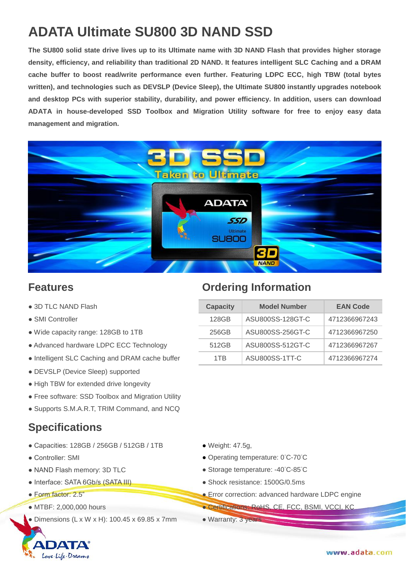# **ADATA Ultimate SU800 3D NAND SSD**

**The SU800 solid state drive lives up to its Ultimate name with 3D NAND Flash that provides higher storage density, efficiency, and reliability than traditional 2D NAND. It features intelligent SLC Caching and a DRAM cache buffer to boost read/write performance even further. Featuring LDPC ECC, high TBW (total bytes written), and technologies such as DEVSLP (Device Sleep), the Ultimate SU800 instantly upgrades notebook and desktop PCs with superior stability, durability, and power efficiency. In addition, users can download ADATA in house-developed SSD Toolbox and Migration Utility software for free to enjoy easy data management and migration.**



- $\bullet$  3D TLC NAND Flash
- $\bullet$  SMI Controller
- $\bullet$  Wide capacity range: 128GB to 1TB
- Advanced hardware LDPC ECC Technology
- $\bullet$  Intelligent SLC Caching and DRAM cache buffer
- DEVSLP (Device Sleep) supported
- High TBW for extended drive longevity
- Free software: SSD Toolbox and Migration Utility
- Supports S.M.A.R.T, TRIM Command, and NCQ

#### **Specifications**

- Capacities: 128GB / 256GB / 512GB / 1TB Weight: 47.5g,
- 
- 
- Interface: SATA 6Gb/s (SATA III) Shock resistance: 1500G/0.5ms
- 
- 

DATA

Love Life. Dream

 $\bullet$  Dimensions (L x W x H): 100.45 x 69.85 x 7mm  $\bullet$  Warranty: 3 years

### **Features Ordering Information**

| <b>Capacity</b> | <b>Model Number</b> | <b>EAN Code</b> |  |
|-----------------|---------------------|-----------------|--|
| 128GB           | ASU800SS-128GT-C    | 4712366967243   |  |
| 256GB           | ASU800SS-256GT-C    | 4712366967250   |  |
| 512GB           | ASU800SS-512GT-C    | 4712366967267   |  |
| 1TR             | ASU800SS-1TT-C      | 4712366967274   |  |

- 
- Controller: SMI Operating temperature: 0°C-70°C
- NAND Flash memory: 3D TLC ● Storage temperature: -40°C-85°C
	-
- Form factor: 2.5" **Error correction: advanced hardware LDPC engine**
- MTBF: 2,000,000 hours  **Certifications: RoHS, CE, FCC, BSMI, VCCI, KC** 
	-

www.adata.com